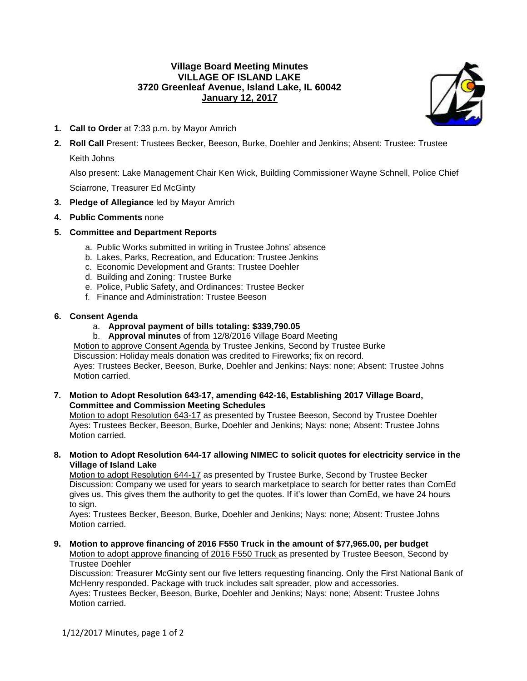# **Village Board Meeting Minutes VILLAGE OF ISLAND LAKE 3720 Greenleaf Avenue, Island Lake, IL 60042 January 12, 2017**



- **1. Call to Order** at 7:33 p.m. by Mayor Amrich
- **2. Roll Call** Present: Trustees Becker, Beeson, Burke, Doehler and Jenkins; Absent: Trustee: Trustee

Keith Johns

Also present: Lake Management Chair Ken Wick, Building Commissioner Wayne Schnell, Police Chief

Sciarrone, Treasurer Ed McGinty

- **3. Pledge of Allegiance** led by Mayor Amrich
- **4. Public Comments** none

## **5. Committee and Department Reports**

- a. Public Works submitted in writing in Trustee Johns' absence
- b. Lakes, Parks, Recreation, and Education: Trustee Jenkins
- c. Economic Development and Grants: Trustee Doehler
- d. Building and Zoning: Trustee Burke
- e. Police, Public Safety, and Ordinances: Trustee Becker
- f. Finance and Administration: Trustee Beeson

### **6. Consent Agenda**

- a. **Approval payment of bills totaling: \$339,790.05**
- b. **Approval minutes** of from 12/8/2016 Village Board Meeting

Motion to approve Consent Agenda by Trustee Jenkins, Second by Trustee Burke Discussion: Holiday meals donation was credited to Fireworks; fix on record.

Ayes: Trustees Becker, Beeson, Burke, Doehler and Jenkins; Nays: none; Absent: Trustee Johns Motion carried.

**7. Motion to Adopt Resolution 643-17, amending 642-16, Establishing 2017 Village Board, Committee and Commission Meeting Schedules**

Motion to adopt Resolution 643-17 as presented by Trustee Beeson, Second by Trustee Doehler Ayes: Trustees Becker, Beeson, Burke, Doehler and Jenkins; Nays: none; Absent: Trustee Johns Motion carried.

**8. Motion to Adopt Resolution 644-17 allowing NIMEC to solicit quotes for electricity service in the Village of Island Lake**

Motion to adopt Resolution 644-17 as presented by Trustee Burke, Second by Trustee Becker Discussion: Company we used for years to search marketplace to search for better rates than ComEd gives us. This gives them the authority to get the quotes. If it's lower than ComEd, we have 24 hours to sign.

Ayes: Trustees Becker, Beeson, Burke, Doehler and Jenkins; Nays: none; Absent: Trustee Johns Motion carried.

**9. Motion to approve financing of 2016 F550 Truck in the amount of \$77,965.00, per budget**

Motion to adopt approve financing of 2016 F550 Truck as presented by Trustee Beeson, Second by Trustee Doehler

Discussion: Treasurer McGinty sent our five letters requesting financing. Only the First National Bank of McHenry responded. Package with truck includes salt spreader, plow and accessories.

Ayes: Trustees Becker, Beeson, Burke, Doehler and Jenkins; Nays: none; Absent: Trustee Johns Motion carried.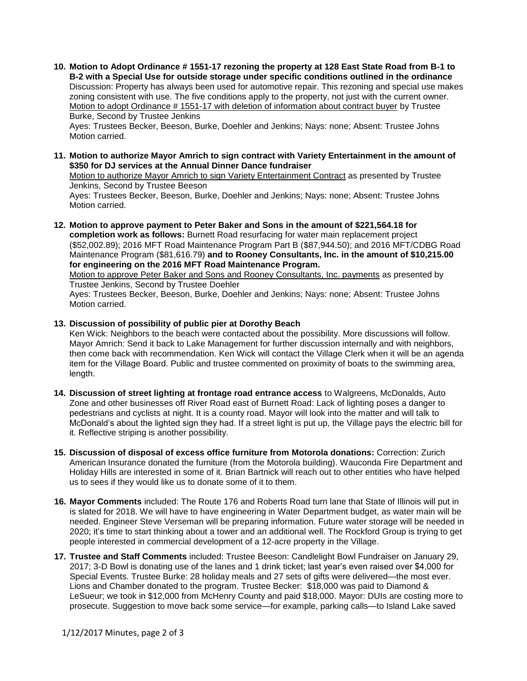**10. Motion to Adopt Ordinance # 1551-17 rezoning the property at 128 East State Road from B-1 to B-2 with a Special Use for outside storage under specific conditions outlined in the ordinance** Discussion: Property has always been used for automotive repair. This rezoning and special use makes zoning consistent with use. The five conditions apply to the property, not just with the current owner. Motion to adopt Ordinance # 1551-17 with deletion of information about contract buyer by Trustee Burke, Second by Trustee Jenkins

Ayes: Trustees Becker, Beeson, Burke, Doehler and Jenkins; Nays: none; Absent: Trustee Johns Motion carried.

**11. Motion to authorize Mayor Amrich to sign contract with Variety Entertainment in the amount of \$350 for DJ services at the Annual Dinner Dance fundraiser**

Motion to authorize Mayor Amrich to sign Variety Entertainment Contract as presented by Trustee Jenkins, Second by Trustee Beeson

Ayes: Trustees Becker, Beeson, Burke, Doehler and Jenkins; Nays: none; Absent: Trustee Johns Motion carried.

**12. Motion to approve payment to Peter Baker and Sons in the amount of \$221,564.18 for completion work as follows:** Burnett Road resurfacing for water main replacement project (\$52,002.89); 2016 MFT Road Maintenance Program Part B (\$87,944.50); and 2016 MFT/CDBG Road Maintenance Program (\$81,616.79) **and to Rooney Consultants, Inc. in the amount of \$10,215.00 for engineering on the 2016 MFT Road Maintenance Program.** Motion to approve Peter Baker and Sons and Rooney Consultants, Inc. payments as presented by Trustee Jenkins, Second by Trustee Doehler

Ayes: Trustees Becker, Beeson, Burke, Doehler and Jenkins; Nays: none; Absent: Trustee Johns Motion carried.

**13. Discussion of possibility of public pier at Dorothy Beach**

Ken Wick: Neighbors to the beach were contacted about the possibility. More discussions will follow. Mayor Amrich: Send it back to Lake Management for further discussion internally and with neighbors, then come back with recommendation. Ken Wick will contact the Village Clerk when it will be an agenda item for the Village Board. Public and trustee commented on proximity of boats to the swimming area, length.

- **14. Discussion of street lighting at frontage road entrance access** to Walgreens, McDonalds, Auto Zone and other businesses off River Road east of Burnett Road: Lack of lighting poses a danger to pedestrians and cyclists at night. It is a county road. Mayor will look into the matter and will talk to McDonald's about the lighted sign they had. If a street light is put up, the Village pays the electric bill for it. Reflective striping is another possibility.
- **15. Discussion of disposal of excess office furniture from Motorola donations:** Correction: Zurich American Insurance donated the furniture (from the Motorola building). Wauconda Fire Department and Holiday Hills are interested in some of it. Brian Bartnick will reach out to other entities who have helped us to sees if they would like us to donate some of it to them.
- **16. Mayor Comments** included: The Route 176 and Roberts Road turn lane that State of Illinois will put in is slated for 2018. We will have to have engineering in Water Department budget, as water main will be needed. Engineer Steve Verseman will be preparing information. Future water storage will be needed in 2020; it's time to start thinking about a tower and an additional well. The Rockford Group is trying to get people interested in commercial development of a 12-acre property in the Village.
- **17. Trustee and Staff Comments** included: Trustee Beeson: Candlelight Bowl Fundraiser on January 29, 2017; 3-D Bowl is donating use of the lanes and 1 drink ticket; last year's even raised over \$4,000 for Special Events. Trustee Burke: 28 holiday meals and 27 sets of gifts were delivered—the most ever. Lions and Chamber donated to the program. Trustee Becker: \$18,000 was paid to Diamond & LeSueur; we took in \$12,000 from McHenry County and paid \$18,000. Mayor: DUIs are costing more to prosecute. Suggestion to move back some service—for example, parking calls—to Island Lake saved